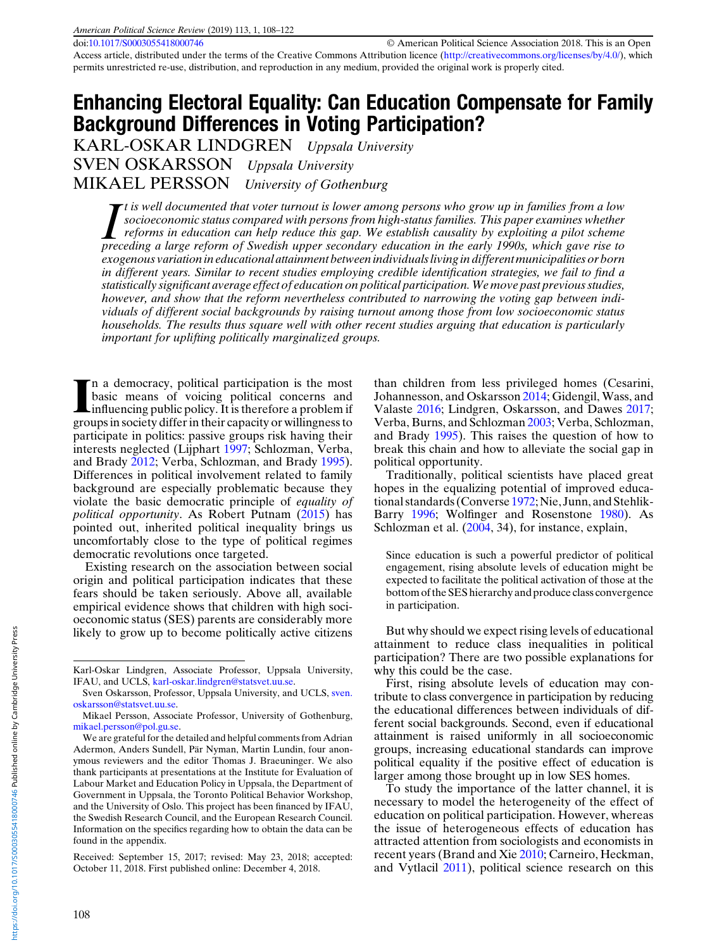Access article, distributed under the terms of the Creative Commons Attribution licence [\(http://creativecommons.org/licenses/by/4.0/](http://creativecommons.org/licenses/by/4.0/)), which permits unrestricted re-use, distribution, and reproduction in any medium, provided the original work is properly cited.

# Enhancing Electoral Equality: Can Education Compensate for Family Background Differences in Voting Participation?

KARL-OSKAR LINDGREN Uppsala University SVEN OSKARSSON Uppsala University MIKAEL PERSSON University of Gothenburg

If is well documented that voter turnout is lower among persons who grow up in families from a low<br>socioeconomic status compared with persons from high-status families. This paper examines whether<br>reforms in education can  $\blacktriangledown t$  is well documented that voter turnout is lower among persons who grow up in families from a low socioeconomic status compared with persons from high-status families. This paper examines whether reforms in education can help reduce this gap. We establish causality by exploiting a pilot scheme exogenous variation in educational attainment between individuals living in different municipalities or born in different years. Similar to recent studies employing credible identification strategies, we fail to find a statistically significant average effect of education on political participation. We move past previous studies, however, and show that the reform nevertheless contributed to narrowing the voting gap between individuals of different social backgrounds by raising turnout among those from low socioeconomic status households. The results thus square well with other recent studies arguing that education is particularly important for uplifting politically marginalized groups.

In a democracy, political participation is the most<br>basic means of voicing political concerns and<br>influencing public policy. It is therefore a problem if<br>groups in society differ in their capacity or willingness to n a democracy, political participation is the most basic means of voicing political concerns and influencing public policy. It is therefore a problem if participate in politics: passive groups risk having their interests neglected (Lijphart [1997;](#page-14-0) Schlozman, Verba, and Brady [2012](#page-14-0); Verba, Schlozman, and Brady [1995\)](#page-14-0). Differences in political involvement related to family background are especially problematic because they violate the basic democratic principle of equality of political opportunity. As Robert Putnam [\(2015](#page-14-0)) has pointed out, inherited political inequality brings us uncomfortably close to the type of political regimes democratic revolutions once targeted.

Existing research on the association between social origin and political participation indicates that these fears should be taken seriously. Above all, available empirical evidence shows that children with high socioeconomic status (SES) parents are considerably more likely to grow up to become politically active citizens

than children from less privileged homes (Cesarini, Johannesson, and Oskarsson [2014](#page-14-0); Gidengil, Wass, and Valaste [2016;](#page-14-0) Lindgren, Oskarsson, and Dawes [2017;](#page-14-0) Verba, Burns, and Schlozman [2003](#page-14-0); Verba, Schlozman, and Brady [1995](#page-14-0)). This raises the question of how to break this chain and how to alleviate the social gap in political opportunity.

Traditionally, political scientists have placed great hopes in the equalizing potential of improved educational standards (Converse [1972;](#page-14-0) Nie, Junn, and Stehlik-Barry [1996](#page-14-0); Wolfinger and Rosenstone [1980](#page-14-0)). As Schlozman et al. [\(2004](#page-14-0), 34), for instance, explain,

Since education is such a powerful predictor of political engagement, rising absolute levels of education might be expected to facilitate the political activation of those at the bottom of the SES hierarchy and produce class convergence in participation.

But why should we expect rising levels of educational attainment to reduce class inequalities in political participation? There are two possible explanations for why this could be the case.

First, rising absolute levels of education may contribute to class convergence in participation by reducing the educational differences between individuals of different social backgrounds. Second, even if educational attainment is raised uniformly in all socioeconomic groups, increasing educational standards can improve political equality if the positive effect of education is larger among those brought up in low SES homes.

To study the importance of the latter channel, it is necessary to model the heterogeneity of the effect of education on political participation. However, whereas the issue of heterogeneous effects of education has attracted attention from sociologists and economists in recent years (Brand and Xie [2010](#page-14-0); Carneiro, Heckman, and Vytlacil [2011\)](#page-14-0), political science research on this

Karl-Oskar Lindgren, Associate Professor, Uppsala University, IFAU, and UCLS, [karl-oskar.lindgren@statsvet.uu.se.](mailto:karl-oskar.lindgren@statsvet.uu.se)

Sven Oskarsson, Professor, Uppsala University, and UCLS, [sven.](mailto:sven.oskarsson@statsvet.uu.se) [oskarsson@statsvet.uu.se.](mailto:sven.oskarsson@statsvet.uu.se)

Mikael Persson, Associate Professor, University of Gothenburg, [mikael.persson@pol.gu.se](mailto:mikael.persson@pol.gu.se).

We are grateful for the detailed and helpful comments from Adrian Adermon, Anders Sundell, Pär Nyman, Martin Lundin, four anonymous reviewers and the editor Thomas J. Braeuninger. We also thank participants at presentations at the Institute for Evaluation of Labour Market and Education Policy in Uppsala, the Department of Government in Uppsala, the Toronto Political Behavior Workshop, and the University of Oslo. This project has been financed by IFAU, the Swedish Research Council, and the European Research Council. Information on the specifics regarding how to obtain the data can be found in the appendix.

Received: September 15, 2017; revised: May 23, 2018; accepted: October 11, 2018. First published online: December 4, 2018.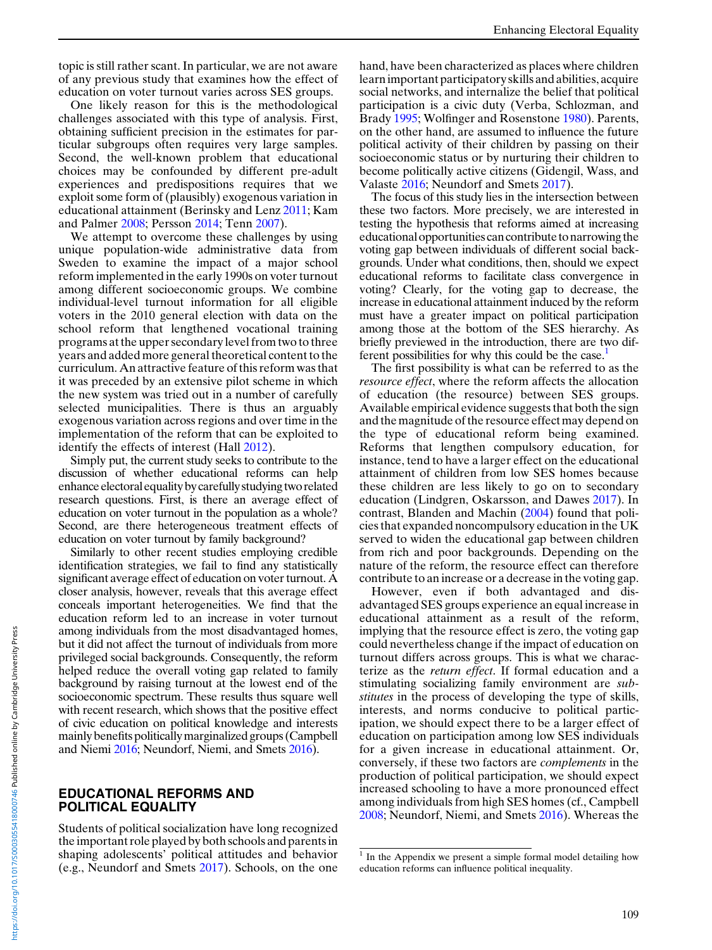topic is still rather scant. In particular, we are not aware of any previous study that examines how the effect of education on voter turnout varies across SES groups.

One likely reason for this is the methodological challenges associated with this type of analysis. First, obtaining sufficient precision in the estimates for particular subgroups often requires very large samples. Second, the well-known problem that educational choices may be confounded by different pre-adult experiences and predispositions requires that we exploit some form of (plausibly) exogenous variation in educational attainment (Berinsky and Lenz [2011](#page-13-0); Kam and Palmer [2008](#page-14-0); Persson [2014;](#page-14-0) Tenn [2007](#page-14-0)).

We attempt to overcome these challenges by using unique population-wide administrative data from Sweden to examine the impact of a major school reform implemented in the early 1990s on voter turnout among different socioeconomic groups. We combine individual-level turnout information for all eligible voters in the 2010 general election with data on the school reform that lengthened vocational training programs at the upper secondary level from two to three years and added more general theoretical content to the curriculum. An attractive feature of this reform was that it was preceded by an extensive pilot scheme in which the new system was tried out in a number of carefully selected municipalities. There is thus an arguably exogenous variation across regions and over time in the implementation of the reform that can be exploited to identify the effects of interest (Hall [2012](#page-14-0)).

Simply put, the current study seeks to contribute to the discussion of whether educational reforms can help enhance electoral equality by carefully studying two related research questions. First, is there an average effect of education on voter turnout in the population as a whole? Second, are there heterogeneous treatment effects of education on voter turnout by family background?

Similarly to other recent studies employing credible identification strategies, we fail to find any statistically significant average effect of education on voter turnout. A closer analysis, however, reveals that this average effect conceals important heterogeneities. We find that the education reform led to an increase in voter turnout among individuals from the most disadvantaged homes, but it did not affect the turnout of individuals from more privileged social backgrounds. Consequently, the reform helped reduce the overall voting gap related to family background by raising turnout at the lowest end of the socioeconomic spectrum. These results thus square well with recent research, which shows that the positive effect of civic education on political knowledge and interests mainly benefits politicallymarginalized groups (Campbell and Niemi [2016](#page-14-0); Neundorf, Niemi, and Smets [2016](#page-14-0)).

### EDUCATIONAL REFORMS AND POLITICAL EQUALITY

Students of political socialization have long recognized the important role played by both schools and parents in shaping adolescents' political attitudes and behavior (e.g., Neundorf and Smets [2017\)](#page-14-0). Schools, on the one hand, have been characterized as places where children learn important participatory skills and abilities, acquire social networks, and internalize the belief that political participation is a civic duty (Verba, Schlozman, and Brady [1995;](#page-14-0) Wolfinger and Rosenstone [1980\)](#page-14-0). Parents, on the other hand, are assumed to influence the future political activity of their children by passing on their socioeconomic status or by nurturing their children to become politically active citizens (Gidengil, Wass, and Valaste [2016](#page-14-0); Neundorf and Smets [2017](#page-14-0)).

The focus of this study lies in the intersection between these two factors. More precisely, we are interested in testing the hypothesis that reforms aimed at increasing educational opportunities can contribute to narrowing the voting gap between individuals of different social backgrounds. Under what conditions, then, should we expect educational reforms to facilitate class convergence in voting? Clearly, for the voting gap to decrease, the increase in educational attainment induced by the reform must have a greater impact on political participation among those at the bottom of the SES hierarchy. As briefly previewed in the introduction, there are two different possibilities for why this could be the case.<sup>1</sup>

The first possibility is what can be referred to as the resource effect, where the reform affects the allocation of education (the resource) between SES groups. Available empirical evidence suggests that both the sign and the magnitude of the resource effect may depend on the type of educational reform being examined. Reforms that lengthen compulsory education, for instance, tend to have a larger effect on the educational attainment of children from low SES homes because these children are less likely to go on to secondary education (Lindgren, Oskarsson, and Dawes [2017\)](#page-14-0). In contrast, Blanden and Machin ([2004\)](#page-14-0) found that policies that expanded noncompulsory education in the UK served to widen the educational gap between children from rich and poor backgrounds. Depending on the nature of the reform, the resource effect can therefore contribute to an increase or a decrease in the voting gap.

However, even if both advantaged and disadvantaged SES groups experience an equal increase in educational attainment as a result of the reform, implying that the resource effect is zero, the voting gap could nevertheless change if the impact of education on turnout differs across groups. This is what we characterize as the return effect. If formal education and a stimulating socializing family environment are substitutes in the process of developing the type of skills, interests, and norms conducive to political participation, we should expect there to be a larger effect of education on participation among low SES individuals for a given increase in educational attainment. Or, conversely, if these two factors are complements in the production of political participation, we should expect increased schooling to have a more pronounced effect among individuals from high SES homes (cf., Campbell [2008;](#page-14-0) Neundorf, Niemi, and Smets [2016\)](#page-14-0). Whereas the

<sup>&</sup>lt;sup>1</sup> In the Appendix we present a simple formal model detailing how education reforms can influence political inequality.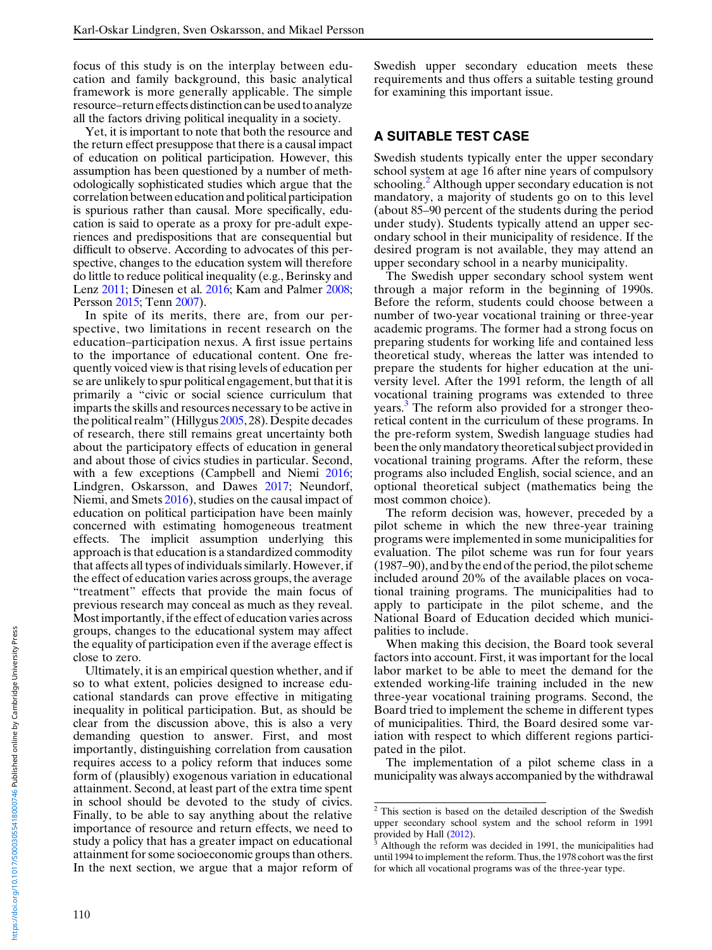focus of this study is on the interplay between education and family background, this basic analytical framework is more generally applicable. The simple resource–return effects distinction can be used to analyze all the factors driving political inequality in a society.

Yet, it is important to note that both the resource and the return effect presuppose that there is a causal impact of education on political participation. However, this assumption has been questioned by a number of methodologically sophisticated studies which argue that the correlation between education and political participation is spurious rather than causal. More specifically, education is said to operate as a proxy for pre-adult experiences and predispositions that are consequential but difficult to observe. According to advocates of this perspective, changes to the education system will therefore do little to reduce political inequality (e.g., Berinsky and Lenz [2011;](#page-13-0) Dinesen et al. [2016](#page-14-0); Kam and Palmer [2008;](#page-14-0) Persson [2015](#page-14-0); Tenn [2007](#page-14-0)).

In spite of its merits, there are, from our perspective, two limitations in recent research on the education–participation nexus. A first issue pertains to the importance of educational content. One frequently voiced view is that rising levels of education per se are unlikely to spur political engagement, but that it is primarily a "civic or social science curriculum that imparts the skills and resources necessary to be active in the political realm" (Hillygus [2005,](#page-14-0) 28). Despite decades of research, there still remains great uncertainty both about the participatory effects of education in general and about those of civics studies in particular. Second, with a few exceptions (Campbell and Niemi [2016;](#page-14-0) Lindgren, Oskarsson, and Dawes [2017](#page-14-0); Neundorf, Niemi, and Smets [2016](#page-14-0)), studies on the causal impact of education on political participation have been mainly concerned with estimating homogeneous treatment effects. The implicit assumption underlying this approach is that education is a standardized commodity that affects all types of individuals similarly. However, if the effect of education varies across groups, the average "treatment" effects that provide the main focus of previous research may conceal as much as they reveal. Most importantly, if the effect of education varies across groups, changes to the educational system may affect the equality of participation even if the average effect is close to zero.

Ultimately, it is an empirical question whether, and if so to what extent, policies designed to increase educational standards can prove effective in mitigating inequality in political participation. But, as should be clear from the discussion above, this is also a very demanding question to answer. First, and most importantly, distinguishing correlation from causation requires access to a policy reform that induces some form of (plausibly) exogenous variation in educational attainment. Second, at least part of the extra time spent in school should be devoted to the study of civics. Finally, to be able to say anything about the relative importance of resource and return effects, we need to study a policy that has a greater impact on educational attainment for some socioeconomic groups than others. In the next section, we argue that a major reform of Swedish upper secondary education meets these requirements and thus offers a suitable testing ground for examining this important issue.

## A SUITABLE TEST CASE

Swedish students typically enter the upper secondary school system at age 16 after nine years of compulsory schooling.<sup>2</sup> Although upper secondary education is not mandatory, a majority of students go on to this level (about 85–90 percent of the students during the period under study). Students typically attend an upper secondary school in their municipality of residence. If the desired program is not available, they may attend an upper secondary school in a nearby municipality.

The Swedish upper secondary school system went through a major reform in the beginning of 1990s. Before the reform, students could choose between a number of two-year vocational training or three-year academic programs. The former had a strong focus on preparing students for working life and contained less theoretical study, whereas the latter was intended to prepare the students for higher education at the university level. After the 1991 reform, the length of all vocational training programs was extended to three years.<sup>3</sup> The reform also provided for a stronger theoretical content in the curriculum of these programs. In the pre-reform system, Swedish language studies had been the only mandatory theoretical subject provided in vocational training programs. After the reform, these programs also included English, social science, and an optional theoretical subject (mathematics being the most common choice).

The reform decision was, however, preceded by a pilot scheme in which the new three-year training programs were implemented in some municipalities for evaluation. The pilot scheme was run for four years (1987–90), and by the end of the period, the pilot scheme included around 20% of the available places on vocational training programs. The municipalities had to apply to participate in the pilot scheme, and the National Board of Education decided which municipalities to include.

When making this decision, the Board took several factors into account. First, it was important for the local labor market to be able to meet the demand for the extended working-life training included in the new three-year vocational training programs. Second, the Board tried to implement the scheme in different types of municipalities. Third, the Board desired some variation with respect to which different regions participated in the pilot.

The implementation of a pilot scheme class in a municipality was always accompanied by the withdrawal

 $2$  This section is based on the detailed description of the Swedish upper secondary school system and the school reform in 1991 provided by Hall ([2012\)](#page-14-0).  $3$  Although the reform was decided in 1991, the municipalities had

until 1994 to implement the reform. Thus, the 1978 cohort was the first for which all vocational programs was of the three-year type.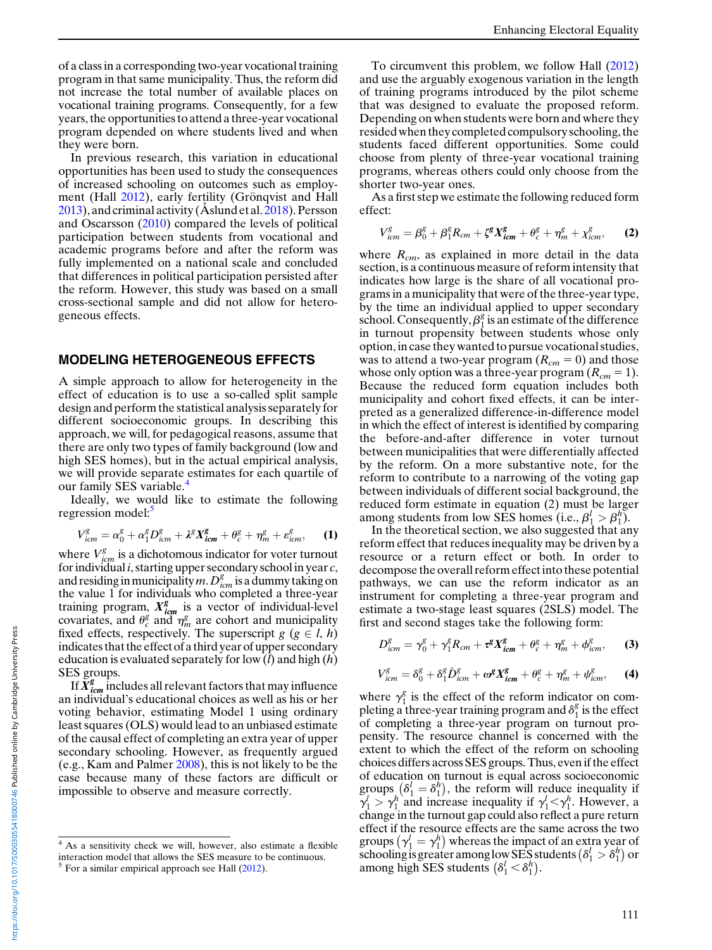of a class in a corresponding two-year vocational training program in that same municipality. Thus, the reform did not increase the total number of available places on vocational training programs. Consequently, for a few years, the opportunities to attend a three-year vocational program depended on where students lived and when they were born.

In previous research, this variation in educational opportunities has been used to study the consequences of increased schooling on outcomes such as employ-ment (Hall [2012](#page-14-0)), early fertility (Grönqvist and Hall [2013\)](#page-14-0), and criminal activity (Aslund et al.  $2018$ ). Persson and Oscarsson ([2010\)](#page-14-0) compared the levels of political participation between students from vocational and academic programs before and after the reform was fully implemented on a national scale and concluded that differences in political participation persisted after the reform. However, this study was based on a small cross-sectional sample and did not allow for heterogeneous effects.

### MODELING HETEROGENEOUS EFFECTS

A simple approach to allow for heterogeneity in the effect of education is to use a so-called split sample design and perform the statistical analysis separately for different socioeconomic groups. In describing this approach, we will, for pedagogical reasons, assume that there are only two types of family background (low and high SES homes), but in the actual empirical analysis, we will provide separate estimates for each quartile of our family SES variable.

Ideally, we would like to estimate the following regression model:<sup>5</sup>

$$
V_{icm}^g = \alpha_0^g + \alpha_1^g D_{icm}^g + \lambda^g X_{icm}^g + \theta_c^g + \eta_m^g + \varepsilon_{icm}^g,
$$
 (1)

where  $V_{icm}^g$  is a dichotomous indicator for voter turnout for individual i, starting upper secondary school in year  $c$ , and residing in municipality m.  $D_{icm}^g$  is a dummy taking on the value 1 for individuals who completed a three-year training program,  $X_{icm}^g$  is a vector of individual-level covariates, and  $\theta_c^g$  and  $\eta_m^g$  are cohort and municipality fixed effects, respectively. The superscript  $g$  ( $g \in l$ , h) indicates that the effect of a third year of upper secondary education is evaluated separately for low  $(l)$  and high  $(h)$ SES groups.

If  $\bar{X}_{em}^g$  includes all relevant factors that may influence<br>individual's educational choices as well as his or her an individual's educational choices as well as his or her voting behavior, estimating Model 1 using ordinary least squares (OLS) would lead to an unbiased estimate of the causal effect of completing an extra year of upper secondary schooling. However, as frequently argued (e.g., Kam and Palmer [2008\)](#page-14-0), this is not likely to be the case because many of these factors are difficult or impossible to observe and measure correctly.

To circumvent this problem, we follow Hall [\(2012](#page-14-0)) and use the arguably exogenous variation in the length of training programs introduced by the pilot scheme that was designed to evaluate the proposed reform. Depending on when students were born and where they resided when they completed compulsory schooling, the students faced different opportunities. Some could choose from plenty of three-year vocational training programs, whereas others could only choose from the shorter two-year ones.

As a first step we estimate the following reduced form effect:

$$
V_{icm}^g = \beta_0^g + \beta_1^g R_{cm} + \zeta^g X_{icm}^g + \theta_c^g + \eta_m^g + \chi_{icm}^g,
$$
 (2)

where  $R_{cm}$ , as explained in more detail in the data section, is a continuous measure of reform intensity that indicates how large is the share of all vocational programs in a municipality that were of the three-year type, by the time an individual applied to upper secondary school. Consequently,  $\beta_1^g$  is an estimate of the difference in turnout propensity between students whose only option, in case they wanted to pursue vocational studies, was to attend a two-year program  $(R_{cm} = 0)$  and those whose only option was a three-year program  $(R_{cm} = 1)$ . Because the reduced form equation includes both municipality and cohort fixed effects, it can be interpreted as a generalized difference-in-difference model in which the effect of interest is identified by comparing the before-and-after difference in voter turnout between municipalities that were differentially affected by the reform. On a more substantive note, for the reform to contribute to a narrowing of the voting gap between individuals of different social background, the reduced form estimate in equation (2) must be larger among students from low SES homes (i.e.,  $\beta_1^l > \beta_1^h$ ).

In the theoretical section, we also suggested that any reform effect that reduces inequality may be driven by a resource or a return effect or both. In order to decompose the overall reform effect into these potential pathways, we can use the reform indicator as an instrument for completing a three-year program and estimate a two-stage least squares (2SLS) model. The first and second stages take the following form:

$$
D_{icm}^g = \gamma_0^g + \gamma_1^g R_{cm} + \tau^g X_{icm}^g + \theta_c^g + \eta_m^g + \phi_{icm}^g,
$$
 (3)

$$
V_{icm}^g = \delta_0^g + \delta_1^g \hat{D}_{icm}^g + \omega^g X_{icm}^g + \theta_c^g + \eta_m^g + \psi_{icm}^g,
$$
 (4)

where  $\gamma_1^g$  is the effect of the reform indicator on completing a three-year training program and  $\delta_1^g$  is the effect of completing a three-year program on turnout propensity. The resource channel is concerned with the extent to which the effect of the reform on schooling choices differs across SES groups. Thus, even if the effect of education on turnout is equal across socioeconomic groups  $\delta_1^l = \delta_1^h$ , the reform will reduce inequality if  $\gamma_1^l > \gamma_1^h$  and increase inequality if  $\gamma_1^l < \gamma_1^h$ . However, a change in the turnout gap could also reflect a pure return effect if the resource effects are the same across the two groups  $(\gamma_1^l = \gamma_1^h)$  whereas the impact of an extra year of schooling is greater among low SES students  $\left(\delta_1' > \delta_1^h\right)$  or among high SES students  $(\delta_1^l < \delta_1^h)$ .

<sup>4</sup> As a sensitivity check we will, however, also estimate a flexible interaction model that allows the SES measure to be continuous.  $<sup>5</sup>$  For a similar empirical approach see Hall [\(2012](#page-14-0)).</sup>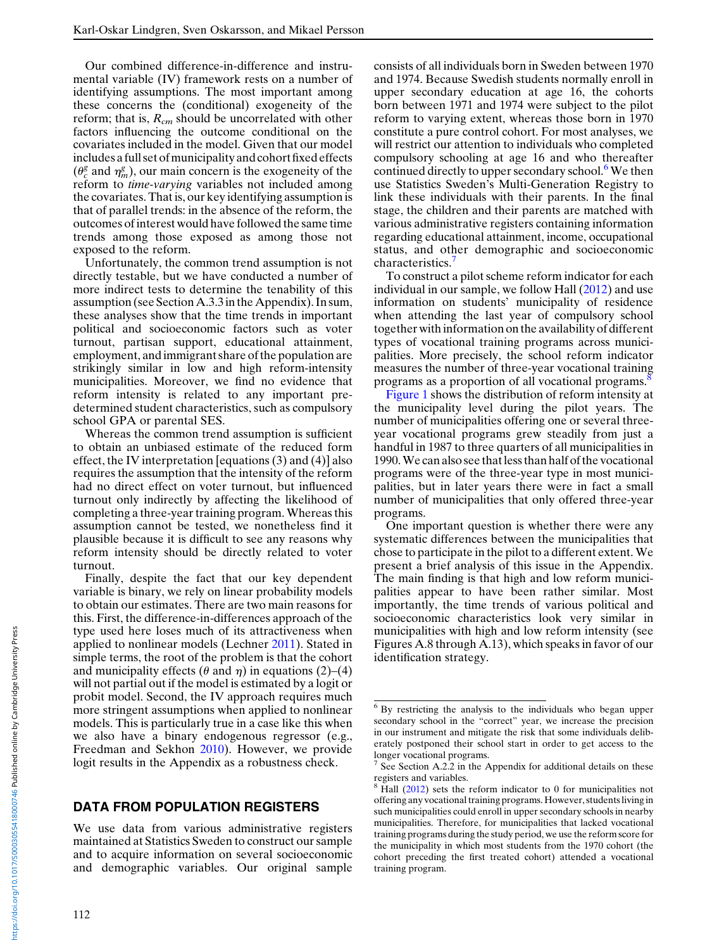Our combined difference-in-difference and instrumental variable (IV) framework rests on a number of identifying assumptions. The most important among these concerns the (conditional) exogeneity of the reform; that is,  $R_{cm}$  should be uncorrelated with other factors influencing the outcome conditional on the covariates included in the model. Given that our model includes a full set of municipality and cohort fixed effects  $(\theta_{\xi}^{g}$  and  $\eta_{m}^{g})$ , our main concern is the exogeneity of the reform to time-varying variables not included among the covariates. That is, our key identifying assumption is that of parallel trends: in the absence of the reform, the outcomes of interest would have followed the same time trends among those exposed as among those not exposed to the reform.

Unfortunately, the common trend assumption is not directly testable, but we have conducted a number of more indirect tests to determine the tenability of this assumption (see Section A.3.3 in the Appendix). In sum, these analyses show that the time trends in important political and socioeconomic factors such as voter turnout, partisan support, educational attainment, employment, and immigrant share of the population are strikingly similar in low and high reform-intensity municipalities. Moreover, we find no evidence that reform intensity is related to any important predetermined student characteristics, such as compulsory school GPA or parental SES.

Whereas the common trend assumption is sufficient to obtain an unbiased estimate of the reduced form effect, the IV interpretation [equations (3) and (4)] also requires the assumption that the intensity of the reform had no direct effect on voter turnout, but influenced turnout only indirectly by affecting the likelihood of completing a three-year training program.Whereas this assumption cannot be tested, we nonetheless find it plausible because it is difficult to see any reasons why reform intensity should be directly related to voter turnout.

Finally, despite the fact that our key dependent variable is binary, we rely on linear probability models to obtain our estimates. There are two main reasons for this. First, the difference-in-differences approach of the type used here loses much of its attractiveness when applied to nonlinear models (Lechner [2011\)](#page-14-0). Stated in simple terms, the root of the problem is that the cohort and municipality effects ( $\theta$  and  $\eta$ ) in equations (2)–(4) will not partial out if the model is estimated by a logit or probit model. Second, the IV approach requires much more stringent assumptions when applied to nonlinear models. This is particularly true in a case like this when we also have a binary endogenous regressor (e.g., Freedman and Sekhon 2010). However, we provide logit results in the Appendix as a robustness check.

### DATA FROM POPULATION REGISTERS

We use data from various administrative registers maintained at Statistics Sweden to construct our sample and to acquire information on several socioeconomic and demographic variables. Our original sample consists of all individuals born in Sweden between 1970 and 1974. Because Swedish students normally enroll in upper secondary education at age 16, the cohorts born between 1971 and 1974 were subject to the pilot reform to varying extent, whereas those born in 1970 constitute a pure control cohort. For most analyses, we will restrict our attention to individuals who completed compulsory schooling at age 16 and who thereafter continued directly to upper secondary school.<sup>6</sup> We then use Statistics Sweden's Multi-Generation Registry to link these individuals with their parents. In the final stage, the children and their parents are matched with various administrative registers containing information regarding educational attainment, income, occupational status, and other demographic and socioeconomic characteristics.<sup>7</sup>

To construct a pilot scheme reform indicator for each individual in our sample, we follow Hall  $(2012)$  $(2012)$  and use information on students' municipality of residence when attending the last year of compulsory school together with information on the availability of different types of vocational training programs across municipalities. More precisely, the school reform indicator measures the number of three-year vocational training programs as a proportion of all vocational programs.<sup>8</sup>

[Figure 1](#page-5-0) shows the distribution of reform intensity at the municipality level during the pilot years. The number of municipalities offering one or several threeyear vocational programs grew steadily from just a handful in 1987 to three quarters of all municipalities in 1990.We can also see that less than half of the vocational programs were of the three-year type in most municipalities, but in later years there were in fact a small number of municipalities that only offered three-year programs.

One important question is whether there were any systematic differences between the municipalities that chose to participate in the pilot to a different extent. We present a brief analysis of this issue in the Appendix. The main finding is that high and low reform municipalities appear to have been rather similar. Most importantly, the time trends of various political and socioeconomic characteristics look very similar in municipalities with high and low reform intensity (see Figures A.8 through A.13), which speaks in favor of our identification strategy.

<sup>&</sup>lt;sup>6</sup> By restricting the analysis to the individuals who began upper secondary school in the "correct" year, we increase the precision in our instrument and mitigate the risk that some individuals deliberately postponed their school start in order to get access to the longer vocational programs.

 $<sup>7</sup>$  See Section A.2.2 in the Appendix for additional details on these</sup> registers and variables.

 $8$  Hall ([2012\)](#page-14-0) sets the reform indicator to 0 for municipalities not offering any vocational training programs. However, students living in such municipalities could enroll in upper secondary schools in nearby municipalities. Therefore, for municipalities that lacked vocational training programs during the study period, we use the reform score for the municipality in which most students from the 1970 cohort (the cohort preceding the first treated cohort) attended a vocational training program.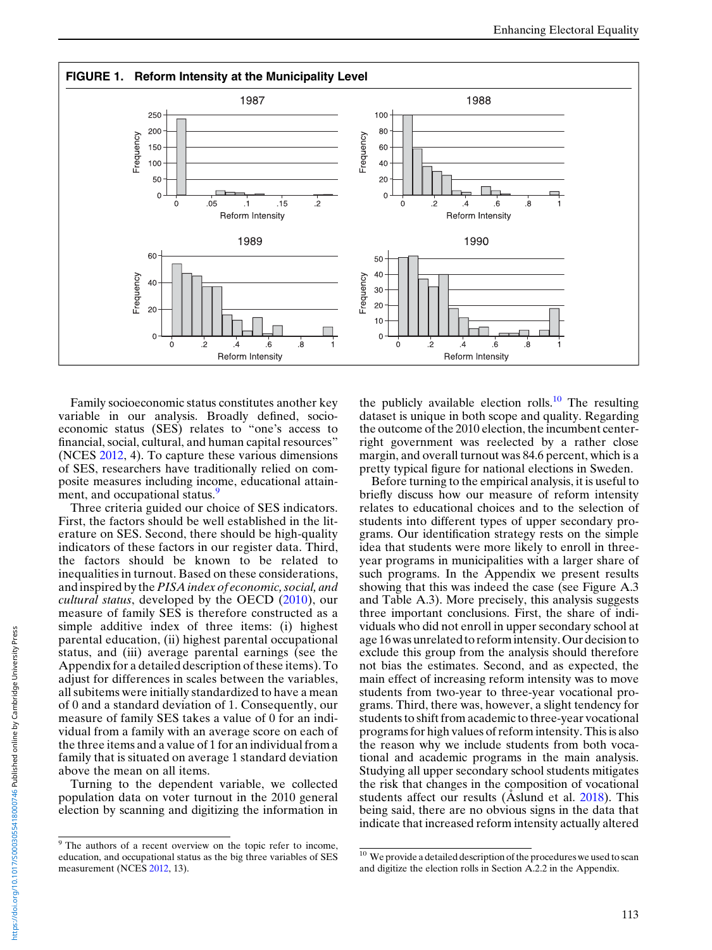<span id="page-5-0"></span>

Family socioeconomic status constitutes another key variable in our analysis. Broadly defined, socioeconomic status (SES) relates to "one's access to financial, social, cultural, and human capital resources" (NCES [2012](#page-14-0), 4). To capture these various dimensions of SES, researchers have traditionally relied on composite measures including income, educational attainment, and occupational status.<sup>9</sup>

Three criteria guided our choice of SES indicators. First, the factors should be well established in the literature on SES. Second, there should be high-quality indicators of these factors in our register data. Third, the factors should be known to be related to inequalities in turnout. Based on these considerations, and inspired by the PISA index of economic, social, and cultural status, developed by the OECD [\(2010\)](#page-14-0), our measure of family SES is therefore constructed as a simple additive index of three items: (i) highest parental education, (ii) highest parental occupational status, and (iii) average parental earnings (see the Appendix for a detailed description of these items). To adjust for differences in scales between the variables, all subitems were initially standardized to have a mean of 0 and a standard deviation of 1. Consequently, our measure of family SES takes a value of 0 for an individual from a family with an average score on each of the three items and a value of 1 for an individual from a family that is situated on average 1 standard deviation above the mean on all items.

Turning to the dependent variable, we collected population data on voter turnout in the 2010 general election by scanning and digitizing the information in

the publicly available election rolls.<sup>10</sup> The resulting dataset is unique in both scope and quality. Regarding the outcome of the 2010 election, the incumbent centerright government was reelected by a rather close margin, and overall turnout was 84.6 percent, which is a pretty typical figure for national elections in Sweden.

Before turning to the empirical analysis, it is useful to briefly discuss how our measure of reform intensity relates to educational choices and to the selection of students into different types of upper secondary programs. Our identification strategy rests on the simple idea that students were more likely to enroll in threeyear programs in municipalities with a larger share of such programs. In the Appendix we present results showing that this was indeed the case (see Figure A.3 and Table A.3). More precisely, this analysis suggests three important conclusions. First, the share of individuals who did not enroll in upper secondary school at age 16 was unrelated to reform intensity. Our decision to exclude this group from the analysis should therefore not bias the estimates. Second, and as expected, the main effect of increasing reform intensity was to move students from two-year to three-year vocational programs. Third, there was, however, a slight tendency for students to shift from academic to three-year vocational programs for high values of reform intensity. This is also the reason why we include students from both vocational and academic programs in the main analysis. Studying all upper secondary school students mitigates the risk that changes in the composition of vocational students affect our results (Aslund et al.  $2018$ ). This being said, there are no obvious signs in the data that indicate that increased reform intensity actually altered

<sup>&</sup>lt;sup>9</sup> The authors of a recent overview on the topic refer to income, education, and occupational status as the big three variables of SES measurement (NCES [2012,](#page-14-0) 13).

 $10$  We provide a detailed description of the procedures we used to scan and digitize the election rolls in Section A.2.2 in the Appendix.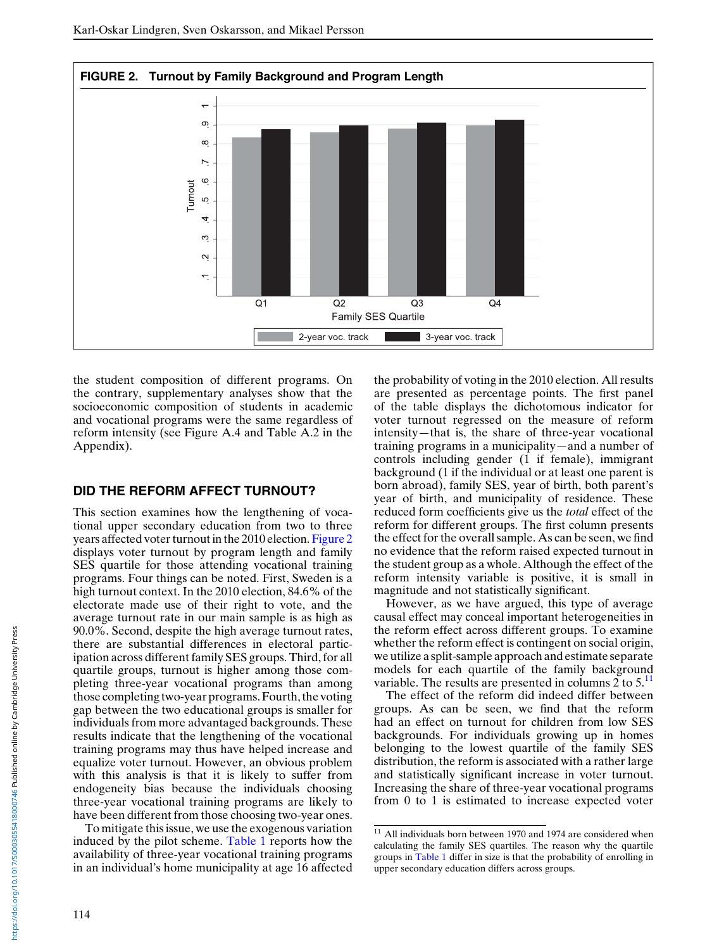

the student composition of different programs. On the contrary, supplementary analyses show that the socioeconomic composition of students in academic and vocational programs were the same regardless of reform intensity (see Figure A.4 and Table A.2 in the Appendix).

# DID THE REFORM AFFECT TURNOUT?

This section examines how the lengthening of vocational upper secondary education from two to three years affected voter turnout in the 2010 election. Figure 2 displays voter turnout by program length and family SES quartile for those attending vocational training programs. Four things can be noted. First, Sweden is a high turnout context. In the 2010 election, 84.6% of the electorate made use of their right to vote, and the average turnout rate in our main sample is as high as 90.0%. Second, despite the high average turnout rates, there are substantial differences in electoral participation across different family SES groups. Third, for all quartile groups, turnout is higher among those completing three-year vocational programs than among those completing two-year programs. Fourth, the voting gap between the two educational groups is smaller for individuals from more advantaged backgrounds. These results indicate that the lengthening of the vocational training programs may thus have helped increase and equalize voter turnout. However, an obvious problem with this analysis is that it is likely to suffer from endogeneity bias because the individuals choosing three-year vocational training programs are likely to have been different from those choosing two-year ones.

To mitigate this issue, we use the exogenous variation induced by the pilot scheme. [Table 1](#page-7-0) reports how the availability of three-year vocational training programs in an individual's home municipality at age 16 affected

the probability of voting in the 2010 election. All results are presented as percentage points. The first panel of the table displays the dichotomous indicator for voter turnout regressed on the measure of reform intensity—that is, the share of three-year vocational training programs in a municipality—and a number of controls including gender (1 if female), immigrant background (1 if the individual or at least one parent is born abroad), family SES, year of birth, both parent's year of birth, and municipality of residence. These reduced form coefficients give us the total effect of the reform for different groups. The first column presents the effect for the overall sample. As can be seen, we find no evidence that the reform raised expected turnout in the student group as a whole. Although the effect of the reform intensity variable is positive, it is small in magnitude and not statistically significant.

However, as we have argued, this type of average causal effect may conceal important heterogeneities in the reform effect across different groups. To examine whether the reform effect is contingent on social origin, we utilize a split-sample approach and estimate separate models for each quartile of the family background variable. The results are presented in columns 2 to  $5<sup>11</sup>$ 

The effect of the reform did indeed differ between groups. As can be seen, we find that the reform had an effect on turnout for children from low SES backgrounds. For individuals growing up in homes belonging to the lowest quartile of the family SES distribution, the reform is associated with a rather large and statistically significant increase in voter turnout. Increasing the share of three-year vocational programs from 0 to 1 is estimated to increase expected voter

 $11$  All individuals born between 1970 and 1974 are considered when calculating the family SES quartiles. The reason why the quartile groups in [Table 1](#page-7-0) differ in size is that the probability of enrolling in upper secondary education differs across groups.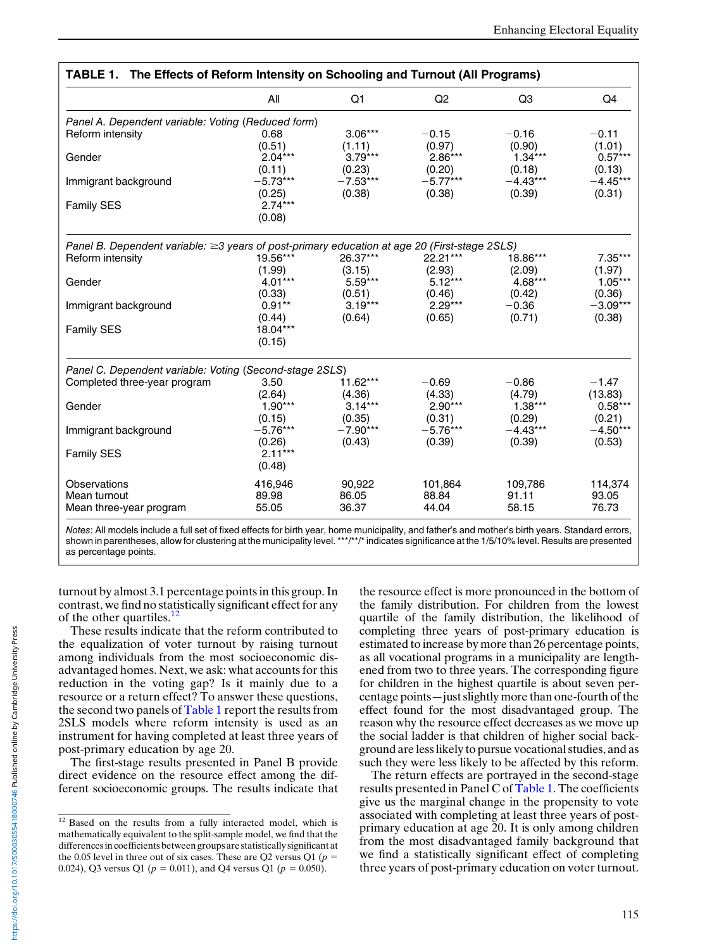|                                                                                              | All                  | Q1                   | Q <sub>2</sub>       | Q3                   | Q4                   |
|----------------------------------------------------------------------------------------------|----------------------|----------------------|----------------------|----------------------|----------------------|
| Panel A. Dependent variable: Voting (Reduced form)                                           |                      |                      |                      |                      |                      |
| Reform intensity                                                                             | 0.68                 | $3.06***$            | $-0.15$              | $-0.16$              | $-0.11$              |
|                                                                                              | (0.51)               | (1.11)               | (0.97)               | (0.90)               | (1.01)               |
| Gender                                                                                       | $2.04***$            | $3.79***$            | $2.86***$            | $1.34***$            | $0.57***$            |
| Immigrant background                                                                         | (0.11)<br>$-5.73***$ | (0.23)<br>$-7.53***$ | (0.20)<br>$-5.77***$ | (0.18)<br>$-4.43***$ | (0.13)<br>$-4.45***$ |
|                                                                                              | (0.25)               | (0.38)               | (0.38)               | (0.39)               | (0.31)               |
| <b>Family SES</b>                                                                            | $2.74***$            |                      |                      |                      |                      |
|                                                                                              | (0.08)               |                      |                      |                      |                      |
| Panel B. Dependent variable: ≥3 years of post-primary education at age 20 (First-stage 2SLS) |                      |                      |                      |                      |                      |
| Reform intensity                                                                             | 19.56***             | 26.37***             | 22.21***             | 18.86***             | $7.35***$            |
|                                                                                              | (1.99)               | (3.15)               | (2.93)               | (2.09)               | (1.97)               |
| Gender                                                                                       | $4.01***$            | $5.59***$            | $5.12***$            | $4.68***$            | $1.05***$            |
|                                                                                              | (0.33)               | (0.51)<br>$3.19***$  | (0.46)<br>$2.29***$  | (0.42)               | (0.36)               |
| Immigrant background                                                                         | $0.91***$            | (0.64)               |                      | $-0.36$              | $-3.09***$           |
| <b>Family SES</b>                                                                            | (0.44)<br>18.04***   |                      | (0.65)               | (0.71)               | (0.38)               |
|                                                                                              | (0.15)               |                      |                      |                      |                      |
| Panel C. Dependent variable: Voting (Second-stage 2SLS)                                      |                      |                      |                      |                      |                      |
| Completed three-year program                                                                 | 3.50                 | 11.62***             | $-0.69$              | $-0.86$              | $-1.47$              |
|                                                                                              | (2.64)               | (4.36)               | (4.33)               | (4.79)               | (13.83)              |
| Gender                                                                                       | $1.90***$            | $3.14***$            | $2.90***$            | $1.38***$            | $0.58***$            |
|                                                                                              | (0.15)               | (0.35)               | (0.31)               | (0.29)               | (0.21)               |
| Immigrant background                                                                         | $-5.76***$           | $-7.90***$           | $-5.76***$           | $-4.43***$           | $-4.50***$           |
| <b>Family SES</b>                                                                            | (0.26)<br>$2.11***$  | (0.43)               | (0.39)               | (0.39)               | (0.53)               |
|                                                                                              | (0.48)               |                      |                      |                      |                      |
| Observations                                                                                 | 416,946              | 90,922               | 101,864              | 109,786              | 114,374              |
| Mean turnout                                                                                 | 89.98                | 86.05                | 88.84                | 91.11                | 93.05                |
| Mean three-year program                                                                      | 55.05                | 36.37                | 44.04                | 58.15                | 76.73                |

# <span id="page-7-0"></span>TABLE 1. The Effects of Reform Intensity on Schooling and Turnout (All Programs)

Notes: All models include a full set of fixed effects for birth year, home municipality, and father's and mother's birth years. Standard errors, shown in parentheses, allow for clustering at the municipality level. \*\*\*/\*\*/\* indicates significance at the 1/5/10% level. Results are presented as percentage points.

turnout by almost 3.1 percentage points in this group. In contrast, we find no statistically significant effect for any of the other quartiles. $^{12}$ 

These results indicate that the reform contributed to the equalization of voter turnout by raising turnout among individuals from the most socioeconomic disadvantaged homes. Next, we ask: what accounts for this reduction in the voting gap? Is it mainly due to a resource or a return effect? To answer these questions, the second two panels of Table 1 report the results from 2SLS models where reform intensity is used as an instrument for having completed at least three years of post-primary education by age 20.

The first-stage results presented in Panel B provide direct evidence on the resource effect among the different socioeconomic groups. The results indicate that

the resource effect is more pronounced in the bottom of the family distribution. For children from the lowest quartile of the family distribution, the likelihood of completing three years of post-primary education is estimated to increase by more than 26 percentage points, as all vocational programs in a municipality are lengthened from two to three years. The corresponding figure for children in the highest quartile is about seven percentage points—just slightly more than one-fourth of the effect found for the most disadvantaged group. The reason why the resource effect decreases as we move up the social ladder is that children of higher social background are less likely to pursue vocational studies, and as such they were less likely to be affected by this reform.

The return effects are portrayed in the second-stage results presented in Panel C of Table 1. The coefficients give us the marginal change in the propensity to vote associated with completing at least three years of postprimary education at age 20. It is only among children from the most disadvantaged family background that we find a statistically significant effect of completing three years of post-primary education on voter turnout.

<sup>&</sup>lt;sup>12</sup> Based on the results from a fully interacted model, which is mathematically equivalent to the split-sample model, we find that the differencesin coefficients between groups are statistically significant at the 0.05 level in three out of six cases. These are Q2 versus Q1 ( $p =$ 0.024), Q3 versus Q1 ( $p = 0.011$ ), and Q4 versus Q1 ( $p = 0.050$ ).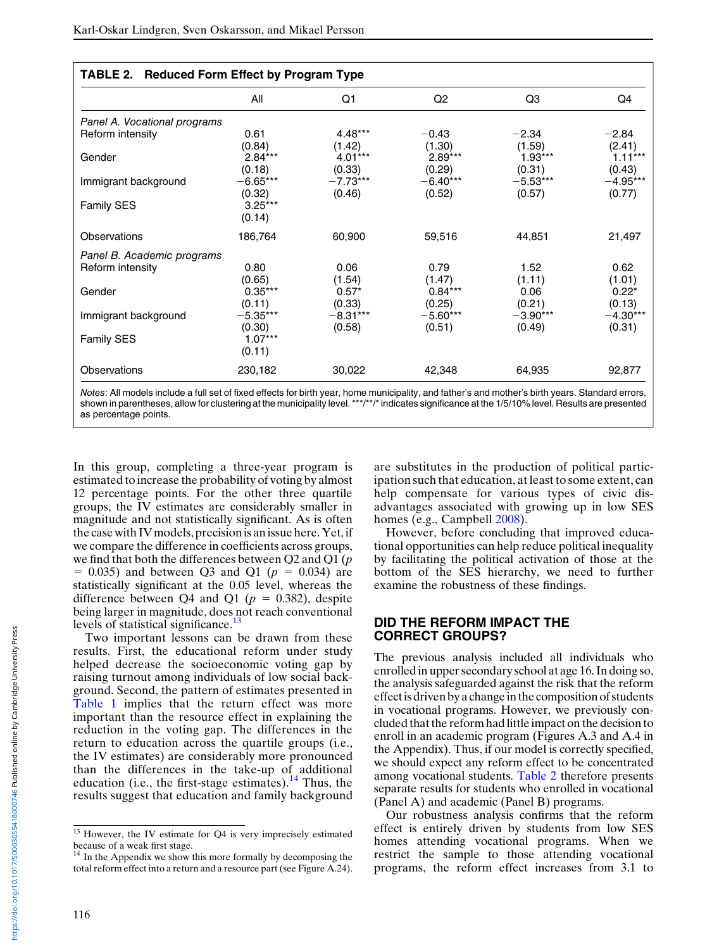|                              | All                  | Q1                   | Q <sub>2</sub>       | Q <sub>3</sub>       | Q4                   |
|------------------------------|----------------------|----------------------|----------------------|----------------------|----------------------|
| Panel A. Vocational programs |                      |                      |                      |                      |                      |
| Reform intensity             | 0.61<br>(0.84)       | $4.48***$<br>(1.42)  | $-0.43$<br>(1.30)    | $-2.34$<br>(1.59)    | $-2.84$<br>(2.41)    |
| Gender                       | $2.84***$<br>(0.18)  | $4.01***$<br>(0.33)  | $2.89***$<br>(0.29)  | $1.93***$<br>(0.31)  | $1.11***$<br>(0.43)  |
| Immigrant background         | $-6.65***$<br>(0.32) | $-7.73***$<br>(0.46) | $-6.40***$<br>(0.52) | $-5.53***$<br>(0.57) | $-4.95***$<br>(0.77) |
| <b>Family SES</b>            | $3.25***$<br>(0.14)  |                      |                      |                      |                      |
| Observations                 | 186,764              | 60,900               | 59,516               | 44,851               | 21,497               |
| Panel B. Academic programs   |                      |                      |                      |                      |                      |
| Reform intensity             | 0.80<br>(0.65)       | 0.06<br>(1.54)       | 0.79<br>(1.47)       | 1.52<br>(1.11)       | 0.62<br>(1.01)       |
| Gender                       | $0.35***$<br>(0.11)  | $0.57*$<br>(0.33)    | $0.84***$<br>(0.25)  | 0.06<br>(0.21)       | $0.22*$<br>(0.13)    |
| Immigrant background         | $-5.35***$<br>(0.30) | $-8.31***$<br>(0.58) | $-5.60***$<br>(0.51) | $-3.90***$<br>(0.49) | $-4.30***$<br>(0.31) |
| <b>Family SES</b>            | $1.07***$<br>(0.11)  |                      |                      |                      |                      |
| Observations                 | 230,182              | 30,022               | 42,348               | 64,935               | 92,877               |

Notes: All models include a full set of fixed effects for birth year, home municipality, and father's and mother's birth years. Standard errors, shown in parentheses, allow for clustering at the municipality level. \*\*\*/\*\*/\* indicates significance at the 1/5/10% level. Results are presented as percentage points.

In this group, completing a three-year program is estimated to increase the probability of voting by almost 12 percentage points. For the other three quartile groups, the IV estimates are considerably smaller in magnitude and not statistically significant. As is often the case with IVmodels, precision is an issue here. Yet, if we compare the difference in coefficients across groups, we find that both the differences between Q2 and Q1 ( $p$ )  $= 0.035$ ) and between Q3 and Q1 ( $p = 0.034$ ) are statistically significant at the 0.05 level, whereas the difference between Q4 and Q1 ( $p = 0.382$ ), despite being larger in magnitude, does not reach conventional levels of statistical significance.<sup>13</sup>

Two important lessons can be drawn from these results. First, the educational reform under study helped decrease the socioeconomic voting gap by raising turnout among individuals of low social background. Second, the pattern of estimates presented in [Table 1](#page-7-0) implies that the return effect was more important than the resource effect in explaining the reduction in the voting gap. The differences in the return to education across the quartile groups (i.e., the IV estimates) are considerably more pronounced than the differences in the take-up of additional education (i.e., the first-stage estimates).<sup>14</sup> Thus, the results suggest that education and family background

are substitutes in the production of political participation such that education, at least to some extent, can help compensate for various types of civic disadvantages associated with growing up in low SES homes (e.g., Campbell [2008\)](#page-14-0).

However, before concluding that improved educational opportunities can help reduce political inequality by facilitating the political activation of those at the bottom of the SES hierarchy, we need to further examine the robustness of these findings.

# DID THE REFORM IMPACT THE CORRECT GROUPS?

The previous analysis included all individuals who enrolled in upper secondary school at age 16. In doing so, the analysis safeguarded against the risk that the reform effect is driven by a change in the composition of students in vocational programs. However, we previously concluded that the reform had little impact on the decision to enroll in an academic program (Figures A.3 and A.4 in the Appendix). Thus, if our model is correctly specified, we should expect any reform effect to be concentrated among vocational students. Table 2 therefore presents separate results for students who enrolled in vocational (Panel A) and academic (Panel B) programs.

Our robustness analysis confirms that the reform effect is entirely driven by students from low SES homes attending vocational programs. When we restrict the sample to those attending vocational programs, the reform effect increases from 3.1 to

<sup>13</sup> However, the IV estimate for Q4 is very imprecisely estimated

because of a weak first stage.<br><sup>14</sup> In the Appendix we show this more formally by decomposing the total reform effect into a return and a resource part (see Figure A.24).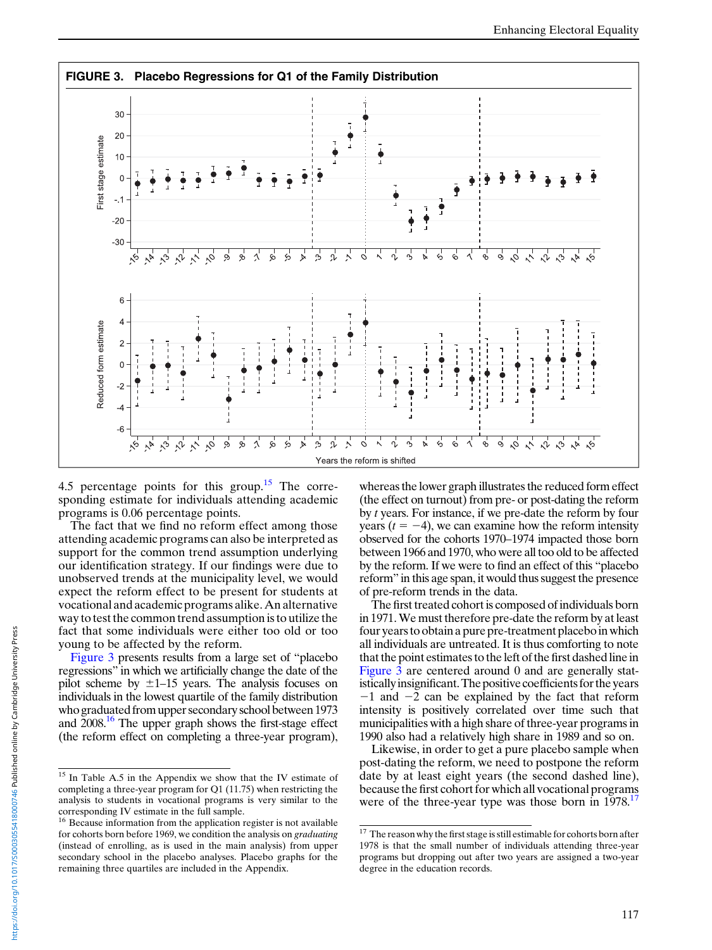

4.5 percentage points for this group.<sup>15</sup> The corresponding estimate for individuals attending academic programs is 0.06 percentage points.

The fact that we find no reform effect among those attending academic programs can also be interpreted as support for the common trend assumption underlying our identification strategy. If our findings were due to unobserved trends at the municipality level, we would expect the reform effect to be present for students at vocational and academic programs alike.An alternative way to test the common trend assumption is to utilize the fact that some individuals were either too old or too young to be affected by the reform.

Figure 3 presents results from a large set of "placebo regressions" in which we artificially change the date of the pilot scheme by  $\pm$ 1–15 years. The analysis focuses on individuals in the lowest quartile of the family distribution who graduated from upper secondary school between 1973 and 2008.<sup>16</sup> The upper graph shows the first-stage effect (the reform effect on completing a three-year program),

whereas the lower graph illustrates the reduced form effect (the effect on turnout) from pre- or post-dating the reform by t years. For instance, if we pre-date the reform by four years  $(t = -4)$ , we can examine how the reform intensity observed for the cohorts 1970–1974 impacted those born between 1966 and 1970, who were all too old to be affected by the reform. If we were to find an effect of this "placebo reform" in this age span, it would thus suggest the presence of pre-reform trends in the data.

The first treated cohort is composed of individuals born in 1971.We must therefore pre-date the reform by at least four years to obtain a pure pre-treatment placebo in which all individuals are untreated. It is thus comforting to note that the point estimates to the left of the first dashed line in Figure 3 are centered around 0 and are generally statistically insignificant. The positive coefficients for the years  $-1$  and  $-2$  can be explained by the fact that reform intensity is positively correlated over time such that municipalities with a high share of three-year programs in 1990 also had a relatively high share in 1989 and so on.

Likewise, in order to get a pure placebo sample when post-dating the reform, we need to postpone the reform date by at least eight years (the second dashed line), because the first cohort for which all vocational programs were of the three-year type was those born in  $1978$ .<sup>17</sup>

<sup>&</sup>lt;sup>15</sup> In Table A.5 in the Appendix we show that the IV estimate of completing a three-year program for Q1 (11.75) when restricting the analysis to students in vocational programs is very similar to the corresponding IV estimate in the full sample.

 $16$  Because information from the application register is not available for cohorts born before 1969, we condition the analysis on graduating (instead of enrolling, as is used in the main analysis) from upper secondary school in the placebo analyses. Placebo graphs for the remaining three quartiles are included in the Appendix.

<sup>&</sup>lt;sup>17</sup> The reason why the first stage is still estimable for cohorts born after 1978 is that the small number of individuals attending three-year programs but dropping out after two years are assigned a two-year degree in the education records.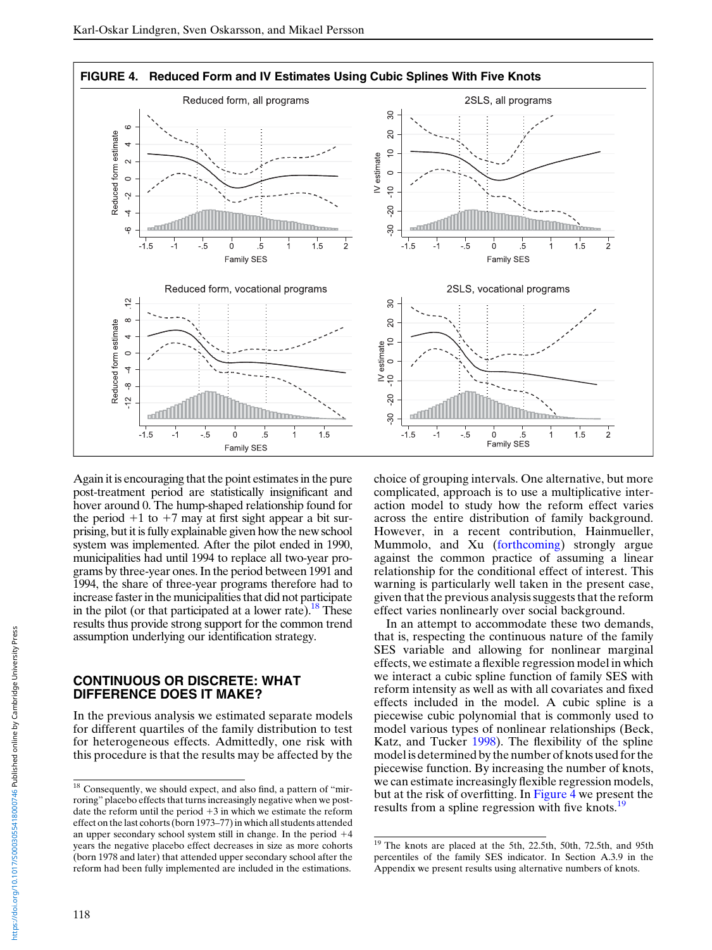<span id="page-10-0"></span>

Again it is encouraging that the point estimates in the pure post-treatment period are statistically insignificant and hover around 0. The hump-shaped relationship found for the period  $+1$  to  $+7$  may at first sight appear a bit surprising, but it is fully explainable given how the new school system was implemented. After the pilot ended in 1990, municipalities had until 1994 to replace all two-year programs by three-year ones. In the period between 1991 and 1994, the share of three-year programs therefore had to increase faster in the municipalities that did not participate in the pilot (or that participated at a lower rate).<sup>18</sup> These results thus provide strong support for the common trend assumption underlying our identification strategy.

## CONTINUOUS OR DISCRETE: WHAT DIFFERENCE DOES IT MAKE?

In the previous analysis we estimated separate models for different quartiles of the family distribution to test for heterogeneous effects. Admittedly, one risk with this procedure is that the results may be affected by the

choice of grouping intervals. One alternative, but more complicated, approach is to use a multiplicative interaction model to study how the reform effect varies across the entire distribution of family background. However, in a recent contribution, Hainmueller, Mummolo, and Xu ([forthcoming\)](#page-14-0) strongly argue against the common practice of assuming a linear relationship for the conditional effect of interest. This warning is particularly well taken in the present case, given that the previous analysis suggests that the reform effect varies nonlinearly over social background.

In an attempt to accommodate these two demands, that is, respecting the continuous nature of the family SES variable and allowing for nonlinear marginal effects, we estimate a flexible regression model in which we interact a cubic spline function of family SES with reform intensity as well as with all covariates and fixed effects included in the model. A cubic spline is a piecewise cubic polynomial that is commonly used to model various types of nonlinear relationships (Beck, Katz, and Tucker [1998\)](#page-13-0). The flexibility of the spline model is determined by the number of knots used for the piecewise function. By increasing the number of knots, we can estimate increasingly flexible regression models, but at the risk of overfitting. In Figure 4 we present the results from a spline regression with five knots.<sup>1</sup>

<sup>&</sup>lt;sup>18</sup> Consequently, we should expect, and also find, a pattern of "mirroring" placebo effects that turns increasingly negative when we postdate the reform until the period  $+3$  in which we estimate the reform effect on the last cohorts (born 1973–77) in which all students attended an upper secondary school system still in change. In the period  $+4$ years the negative placebo effect decreases in size as more cohorts (born 1978 and later) that attended upper secondary school after the reform had been fully implemented are included in the estimations.

<sup>&</sup>lt;sup>19</sup> The knots are placed at the 5th, 22.5th, 50th, 72.5th, and 95th percentiles of the family SES indicator. In Section A.3.9 in the Appendix we present results using alternative numbers of knots.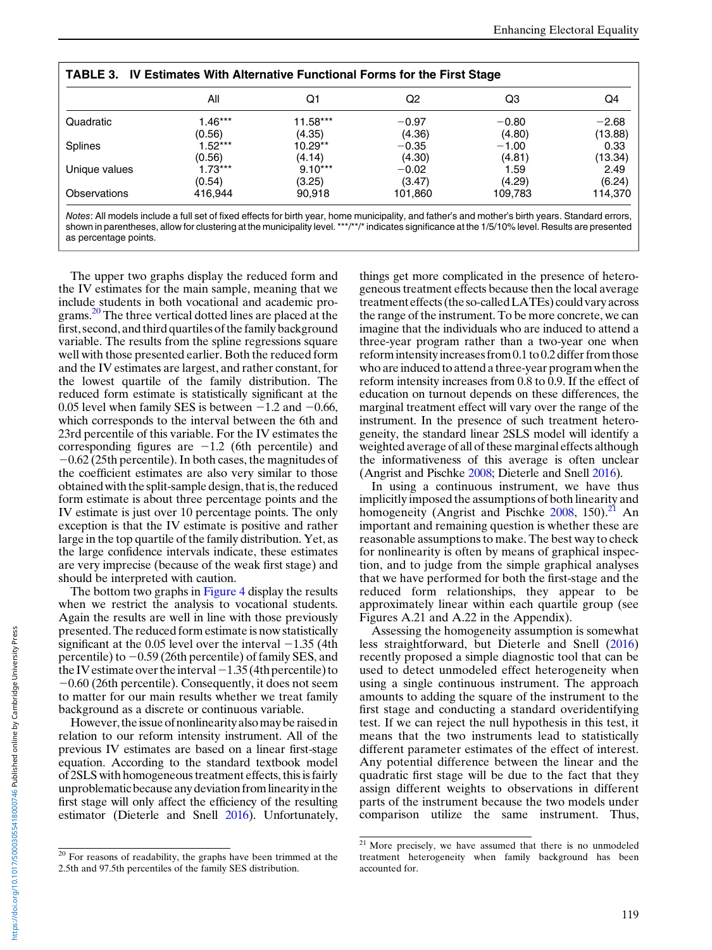|               | All       | Q1        | Q2      | Q3      | Q4      |
|---------------|-----------|-----------|---------|---------|---------|
| Quadratic     | $1.46***$ | 11.58***  | $-0.97$ | $-0.80$ | $-2.68$ |
|               | (0.56)    | (4.35)    | (4.36)  | (4.80)  | (13.88) |
| Splines       | $1.52***$ | 10.29**   | $-0.35$ | $-1.00$ | 0.33    |
|               | (0.56)    | (4.14)    | (4.30)  | (4.81)  | (13.34) |
| Unique values | $1.73***$ | $9.10***$ | $-0.02$ | 1.59    | 2.49    |
|               | (0.54)    | (3.25)    | (3.47)  | (4.29)  | (6.24)  |
| Observations  | 416,944   | 90,918    | 101,860 | 109,783 | 114,370 |

<span id="page-11-0"></span>

|  | <b>TABLE 3. IV Estimates With Alternative Functional Forms for the First Stage</b> |  |  |
|--|------------------------------------------------------------------------------------|--|--|
|  |                                                                                    |  |  |

Notes: All models include a full set of fixed effects for birth year, home municipality, and father's and mother's birth years. Standard errors, shown in parentheses, allow for clustering at the municipality level. \*\*\*/\*\*/\* indicates significance at the 1/5/10% level. Results are presented as percentage points.

The upper two graphs display the reduced form and the IV estimates for the main sample, meaning that we include students in both vocational and academic programs.<sup>20</sup> The three vertical dotted lines are placed at the first, second, and third quartiles of the family background variable. The results from the spline regressions square well with those presented earlier. Both the reduced form and the IV estimates are largest, and rather constant, for the lowest quartile of the family distribution. The reduced form estimate is statistically significant at the 0.05 level when family SES is between  $-1.2$  and  $-0.66$ , which corresponds to the interval between the 6th and 23rd percentile of this variable. For the IV estimates the corresponding figures are  $-1.2$  (6th percentile) and  $-0.62$  (25th percentile). In both cases, the magnitudes of the coefficient estimates are also very similar to those obtained with the split-sample design, thatis, the reduced form estimate is about three percentage points and the IV estimate is just over 10 percentage points. The only exception is that the IV estimate is positive and rather large in the top quartile of the family distribution. Yet, as the large confidence intervals indicate, these estimates are very imprecise (because of the weak first stage) and should be interpreted with caution.

The bottom two graphs in [Figure 4](#page-10-0) display the results when we restrict the analysis to vocational students. Again the results are well in line with those previously presented. The reduced form estimate is now statistically significant at the 0.05 level over the interval  $-1.35$  (4th percentile) to  $-0.59$  (26th percentile) of family SES, and the IV estimate over the interval  $-1.35$  (4th percentile) to  $-0.60$  (26th percentile). Consequently, it does not seem to matter for our main results whether we treat family background as a discrete or continuous variable.

However, the issue of nonlinearity also may be raised in relation to our reform intensity instrument. All of the previous IV estimates are based on a linear first-stage equation. According to the standard textbook model of 2SLS with homogeneous treatment effects, this is fairly unproblematic because any deviation fromlinearityin the first stage will only affect the efficiency of the resulting estimator (Dieterle and Snell [2016](#page-14-0)). Unfortunately,

things get more complicated in the presence of heterogeneous treatment effects because then the local average treatment effects (the so-calledLATEs) could vary across the range of the instrument. To be more concrete, we can imagine that the individuals who are induced to attend a three-year program rather than a two-year one when reformintensityincreases from 0.1 to 0.2 differ from those who are induced to attend a three-year program when the reform intensity increases from 0.8 to 0.9. If the effect of education on turnout depends on these differences, the marginal treatment effect will vary over the range of the instrument. In the presence of such treatment heterogeneity, the standard linear 2SLS model will identify a weighted average of all of these marginal effects although the informativeness of this average is often unclear (Angrist and Pischke [2008](#page-13-0); Dieterle and Snell [2016\)](#page-14-0).

In using a continuous instrument, we have thus implicitly imposed the assumptions of both linearity and homogeneity (Angrist and Pischke  $2008$ , 150).<sup>21</sup> An important and remaining question is whether these are reasonable assumptions to make. The best way to check for nonlinearity is often by means of graphical inspection, and to judge from the simple graphical analyses that we have performed for both the first-stage and the reduced form relationships, they appear to be approximately linear within each quartile group (see Figures A.21 and A.22 in the Appendix).

Assessing the homogeneity assumption is somewhat less straightforward, but Dieterle and Snell [\(2016](#page-14-0)) recently proposed a simple diagnostic tool that can be used to detect unmodeled effect heterogeneity when using a single continuous instrument. The approach amounts to adding the square of the instrument to the first stage and conducting a standard overidentifying test. If we can reject the null hypothesis in this test, it means that the two instruments lead to statistically different parameter estimates of the effect of interest. Any potential difference between the linear and the quadratic first stage will be due to the fact that they assign different weights to observations in different parts of the instrument because the two models under comparison utilize the same instrument. Thus,

<sup>&</sup>lt;sup>20</sup> For reasons of readability, the graphs have been trimmed at the 2.5th and 97.5th percentiles of the family SES distribution.

<sup>&</sup>lt;sup>21</sup> More precisely, we have assumed that there is no unmodeled treatment heterogeneity when family background has been accounted for.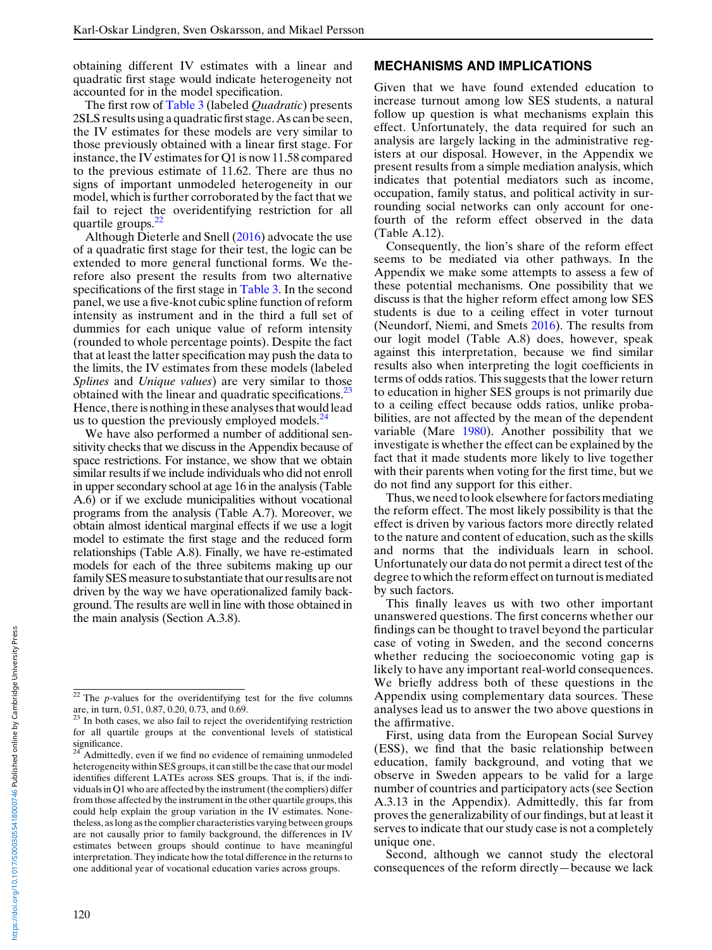obtaining different IV estimates with a linear and quadratic first stage would indicate heterogeneity not accounted for in the model specification.

The first row of [Table 3](#page-11-0) (labeled *Quadratic*) presents 2SLS results using a quadratic first stage. As can be seen, the IV estimates for these models are very similar to those previously obtained with a linear first stage. For instance, the IV estimates for Q1 is now 11.58 compared to the previous estimate of 11.62. There are thus no signs of important unmodeled heterogeneity in our model, which is further corroborated by the fact that we fail to reject the overidentifying restriction for all quartile groups.<sup>22</sup>

Although Dieterle and Snell [\(2016](#page-14-0)) advocate the use of a quadratic first stage for their test, the logic can be extended to more general functional forms. We therefore also present the results from two alternative specifications of the first stage in [Table 3](#page-11-0). In the second panel, we use a five-knot cubic spline function of reform intensity as instrument and in the third a full set of dummies for each unique value of reform intensity (rounded to whole percentage points). Despite the fact that at least the latter specification may push the data to the limits, the IV estimates from these models (labeled Splines and Unique values) are very similar to those obtained with the linear and quadratic specifications.  $\sim$ Hence, there is nothing in these analyses that would lead us to question the previously employed models. $<sup>2</sup>$ </sup>

We have also performed a number of additional sensitivity checks that we discuss in the Appendix because of space restrictions. For instance, we show that we obtain similar results if we include individuals who did not enroll in upper secondary school at age 16 in the analysis (Table A.6) or if we exclude municipalities without vocational programs from the analysis (Table A.7). Moreover, we obtain almost identical marginal effects if we use a logit model to estimate the first stage and the reduced form relationships (Table A.8). Finally, we have re-estimated models for each of the three subitems making up our family SES measure to substantiate that our results are not driven by the way we have operationalized family background. The results are well in line with those obtained in the main analysis (Section A.3.8).

# MECHANISMS AND IMPLICATIONS

Given that we have found extended education to increase turnout among low SES students, a natural follow up question is what mechanisms explain this effect. Unfortunately, the data required for such an analysis are largely lacking in the administrative registers at our disposal. However, in the Appendix we present results from a simple mediation analysis, which indicates that potential mediators such as income, occupation, family status, and political activity in surrounding social networks can only account for onefourth of the reform effect observed in the data (Table A.12).

Consequently, the lion's share of the reform effect seems to be mediated via other pathways. In the Appendix we make some attempts to assess a few of these potential mechanisms. One possibility that we discuss is that the higher reform effect among low SES students is due to a ceiling effect in voter turnout (Neundorf, Niemi, and Smets [2016](#page-14-0)). The results from our logit model (Table A.8) does, however, speak against this interpretation, because we find similar results also when interpreting the logit coefficients in terms of odds ratios. This suggests that the lower return to education in higher SES groups is not primarily due to a ceiling effect because odds ratios, unlike probabilities, are not affected by the mean of the dependent variable (Mare [1980\)](#page-14-0). Another possibility that we investigate is whether the effect can be explained by the fact that it made students more likely to live together with their parents when voting for the first time, but we do not find any support for this either.

Thus, we need to look elsewhere for factors mediating the reform effect. The most likely possibility is that the effect is driven by various factors more directly related to the nature and content of education, such as the skills and norms that the individuals learn in school. Unfortunately our data do not permit a direct test of the degree to which the reform effect on turnout is mediated by such factors.

This finally leaves us with two other important unanswered questions. The first concerns whether our findings can be thought to travel beyond the particular case of voting in Sweden, and the second concerns whether reducing the socioeconomic voting gap is likely to have any important real-world consequences. We briefly address both of these questions in the Appendix using complementary data sources. These analyses lead us to answer the two above questions in the affirmative.

First, using data from the European Social Survey (ESS), we find that the basic relationship between education, family background, and voting that we observe in Sweden appears to be valid for a large number of countries and participatory acts (see Section A.3.13 in the Appendix). Admittedly, this far from proves the generalizability of our findings, but at least it serves to indicate that our study case is not a completely unique one.

Second, although we cannot study the electoral consequences of the reform directly—because we lack

 $22$  The *p*-values for the overidentifying test for the five columns are, in turn, 0.51, 0.87, 0.20, 0.73, and 0.69.

<sup>&</sup>lt;sup>23</sup> In both cases, we also fail to reject the overidentifying restriction for all quartile groups at the conventional levels of statistical significance.<br> $^{24}$  A dmittally group if we find no evidence of remaining unmodeled

Admittedly, even if we find no evidence of remaining unmodeled heterogeneity within SES groups, it can still be the case that our model identifies different LATEs across SES groups. That is, if the individuals in Q1 who are affected by the instrument (the compliers) differ from those affected by the instrument in the other quartile groups, this could help explain the group variation in the IV estimates. Nonetheless, as long as the complier characteristics varying between groups are not causally prior to family background, the differences in IV estimates between groups should continue to have meaningful interpretation. They indicate how the total difference in the returns to one additional year of vocational education varies across groups.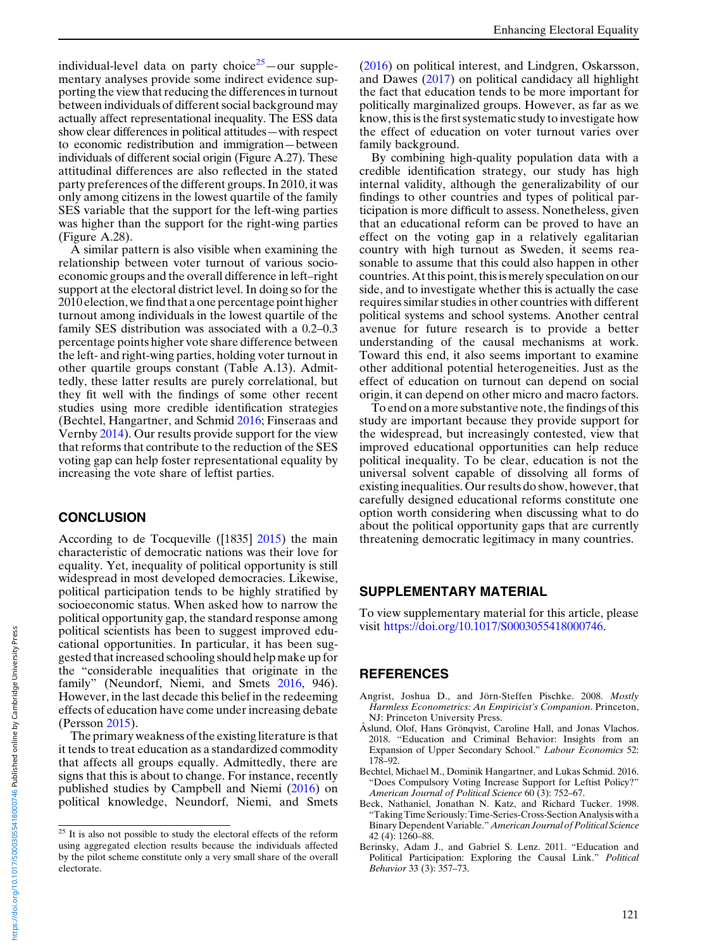<span id="page-13-0"></span>individual-level data on party choice<sup>25</sup> — our supplementary analyses provide some indirect evidence supporting the view that reducing the differences in turnout between individuals of different social background may actually affect representational inequality. The ESS data show clear differences in political attitudes—with respect to economic redistribution and immigration—between individuals of different social origin (Figure A.27). These attitudinal differences are also reflected in the stated party preferences of the different groups. In 2010, it was only among citizens in the lowest quartile of the family SES variable that the support for the left-wing parties was higher than the support for the right-wing parties (Figure A.28).

A similar pattern is also visible when examining the relationship between voter turnout of various socioeconomic groups and the overall difference in left–right support at the electoral district level. In doing so for the 2010 election, we find that a one percentage point higher turnout among individuals in the lowest quartile of the family SES distribution was associated with a 0.2–0.3 percentage points higher vote share difference between the left- and right-wing parties, holding voter turnout in other quartile groups constant (Table A.13). Admittedly, these latter results are purely correlational, but they fit well with the findings of some other recent studies using more credible identification strategies (Bechtel, Hangartner, and Schmid 2016; Finseraas and Vernby [2014](#page-14-0)). Our results provide support for the view that reforms that contribute to the reduction of the SES voting gap can help foster representational equality by increasing the vote share of leftist parties.

# **CONCLUSION**

According to de Tocqueville ([1835] [2015\)](#page-14-0) the main characteristic of democratic nations was their love for equality. Yet, inequality of political opportunity is still widespread in most developed democracies. Likewise, political participation tends to be highly stratified by socioeconomic status. When asked how to narrow the political opportunity gap, the standard response among political scientists has been to suggest improved educational opportunities. In particular, it has been suggested that increased schooling should help make up for the "considerable inequalities that originate in the family" (Neundorf, Niemi, and Smets [2016,](#page-14-0) 946). However, in the last decade this belief in the redeeming effects of education have come under increasing debate (Persson [2015](#page-14-0)).

The primary weakness of the existing literature is that it tends to treat education as a standardized commodity that affects all groups equally. Admittedly, there are signs that this is about to change. For instance, recently published studies by Campbell and Niemi [\(2016\)](#page-14-0) on political knowledge, Neundorf, Niemi, and Smets

([2016\)](#page-14-0) on political interest, and Lindgren, Oskarsson, and Dawes ([2017\)](#page-14-0) on political candidacy all highlight the fact that education tends to be more important for politically marginalized groups. However, as far as we know, this is the first systematic study to investigate how the effect of education on voter turnout varies over family background.

By combining high-quality population data with a credible identification strategy, our study has high internal validity, although the generalizability of our findings to other countries and types of political participation is more difficult to assess. Nonetheless, given that an educational reform can be proved to have an effect on the voting gap in a relatively egalitarian country with high turnout as Sweden, it seems reasonable to assume that this could also happen in other countries. At this point, this is merely speculation on our side, and to investigate whether this is actually the case requires similar studies in other countries with different political systems and school systems. Another central avenue for future research is to provide a better understanding of the causal mechanisms at work. Toward this end, it also seems important to examine other additional potential heterogeneities. Just as the effect of education on turnout can depend on social origin, it can depend on other micro and macro factors.

To end on a more substantive note, the findings of this study are important because they provide support for the widespread, but increasingly contested, view that improved educational opportunities can help reduce political inequality. To be clear, education is not the universal solvent capable of dissolving all forms of existing inequalities. Our results do show, however, that carefully designed educational reforms constitute one option worth considering when discussing what to do about the political opportunity gaps that are currently threatening democratic legitimacy in many countries.

### SUPPLEMENTARY MATERIAL

To view supplementary material for this article, please visit <https://doi.org/10.1017/S0003055418000746>.

# REFERENCES

- Angrist, Joshua D., and Jörn-Steffen Pischke. 2008. Mostly Harmless Econometrics: An Empiricist's Companion. Princeton, NJ: Princeton University Press.
- Aslund, Olof, Hans Grönqvist, Caroline Hall, and Jonas Vlachos. 2018. "Education and Criminal Behavior: Insights from an Expansion of Upper Secondary School." Labour Economics 52: 178–92.
- Bechtel, Michael M., Dominik Hangartner, and Lukas Schmid. 2016. "Does Compulsory Voting Increase Support for Leftist Policy?" American Journal of Political Science 60 (3): 752–67.
- Beck, Nathaniel, Jonathan N. Katz, and Richard Tucker. 1998. "TakingTime Seriously:Time-Series-Cross-SectionAnalysis with a Binary Dependent Variable." American Journal of Political Science 42 (4): 1260–88.
- Berinsky, Adam J., and Gabriel S. Lenz. 2011. "Education and Political Participation: Exploring the Causal Link." Political Behavior 33 (3): 357–73.

<sup>&</sup>lt;sup>25</sup> It is also not possible to study the electoral effects of the reform using aggregated election results because the individuals affected by the pilot scheme constitute only a very small share of the overall electorate.